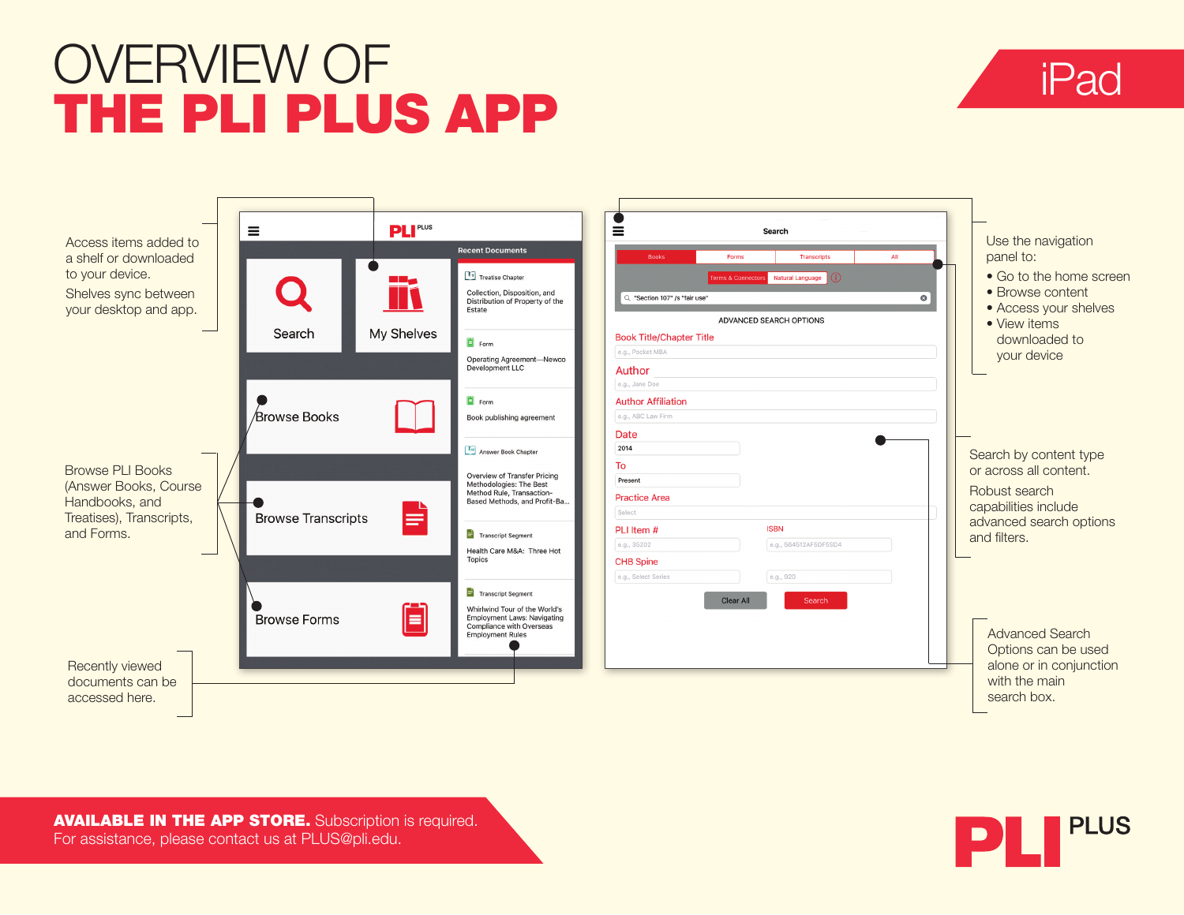## OVERVIEW OF THE PLI PLUS APP





AVAILABLE IN THE APP STORE. Subscription is required. For assistance, please contact us at PLUS@pli.edu.